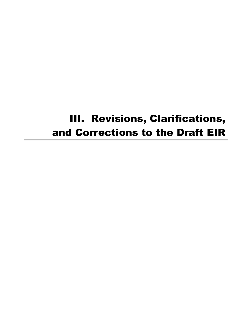# III. Revisions, Clarifications, and Corrections to the Draft EIR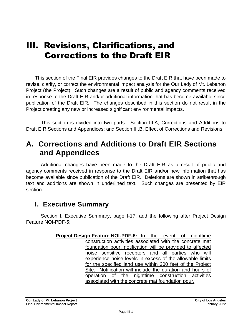# III. Revisions, Clarifications, and Corrections to the Draft EIR

This section of the Final EIR provides changes to the Draft EIR that have been made to revise, clarify, or correct the environmental impact analysis for the Our Lady of Mt. Lebanon Project (the Project). Such changes are a result of public and agency comments received in response to the Draft EIR and/or additional information that has become available since publication of the Draft EIR. The changes described in this section do not result in the Project creating any new or increased significant environmental impacts.

This section is divided into two parts: Section III.A, Corrections and Additions to Draft EIR Sections and Appendices; and Section III.B, Effect of Corrections and Revisions.

# **A. Corrections and Additions to Draft EIR Sections and Appendices**

Additional changes have been made to the Draft EIR as a result of public and agency comments received in response to the Draft EIR and/or new information that has become available since publication of the Draft EIR. Deletions are shown in strikethrough text and additions are shown in underlined text. Such changes are presented by EIR section.

#### **I. Executive Summary**

Section I, Executive Summary, page I-17, add the following after Project Design Feature NOI-PDF-5:

> **Project Design Feature NOI-PDF-6:** In the event of nighttime construction activities associated with the concrete mat foundation pour, notification will be provided to affected noise sensitive receptors and all parties who will experience noise levels in excess of the allowable limits for the specified land use within 200 feet of the Project Site. Notification will include the duration and hours of operation of the nighttime construction activities associated with the concrete mat foundation pour.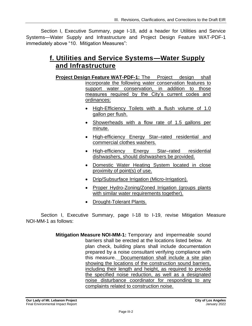Section I, Executive Summary, page I-18, add a header for Utilities and Service Systems—Water Supply and Infrastructure and Project Design Feature WAT-PDF-1 immediately above "10. Mitigation Measures":

#### **f. Utilities and Service Systems—Water Supply and Infrastructure**

- **Project Design Feature WAT-PDF-1:** The Project design shall incorporate the following water conservation features to support water conservation, in addition to those measures required by the City's current codes and ordinances:
	- High-Efficiency Toilets with a flush volume of 1.0 gallon per flush.
	- Showerheads with a flow rate of 1.5 gallons per minute.
	- High-efficiency Energy Star–rated residential and commercial clothes washers.
	- High-efficiency Energy Star–rated residential dishwashers, should dishwashers be provided.
	- Domestic Water Heating System located in close proximity of point(s) of use.
	- Drip/Subsurface Irrigation (Micro-Irrigation).
	- Proper Hydro-Zoning/Zoned Irrigation (groups plants with similar water requirements together).
	- Drought-Tolerant Plants.

Section I, Executive Summary, page I-18 to I-19, revise Mitigation Measure NOI-MM-1 as follows:

> **Mitigation Measure NOI-MM-1:** Temporary and impermeable sound barriers shall be erected at the locations listed below. At plan check, building plans shall include documentation prepared by a noise consultant verifying compliance with this measure. Documentation shall include a site plan showing the locations of the construction sound barriers, including their length and height, as required to provide the specified noise reduction, as well as a designated noise disturbance coordinator for responding to any complaints related to construction noise.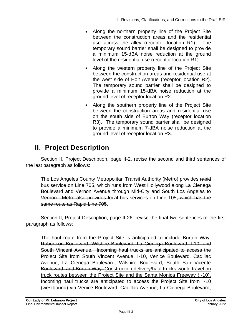- Along the northern property line of the Project Site between the construction areas and the residential use across the alley (receptor location R1). The temporary sound barrier shall be designed to provide a minimum 15-dBA noise reduction at the ground level of the residential use (receptor location R1).
- Along the western property line of the Project Site between the construction areas and residential use at the west side of Holt Avenue (receptor location R2). The temporary sound barrier shall be designed to provide a minimum 15-dBA noise reduction at the ground level of receptor location R2.
- Along the southern property line of the Project Site between the construction areas and residential use on the south side of Burton Way (receptor location R3). The temporary sound barrier shall be designed to provide a minimum 7-dBA noise reduction at the ground level of receptor location R3.

# **II. Project Description**

Section II, Project Description, page II-2, revise the second and third sentences of the last paragraph as follows:

The Los Angeles County Metropolitan Transit Authority (Metro) provides rapid bus service on Line 705, which runs from West Hollywood along La Cienega Boulevard and Vernon Avenue through Mid-City and South Los Angeles to Vernon. Metro also provides local bus services on Line 105, which has the same route as Rapid Line 705.

Section II, Project Description, page II-26, revise the final two sentences of the first paragraph as follows:

The haul route from the Project Site is anticipated to include Burton Way, Robertson Boulevard, Wilshire Boulevard, La Cienega Boulevard, I-10, and South Vincent Avenue. Incoming haul trucks are anticipated to access the Project Site from South Vincent Avenue, I-10, Venice Boulevard, Cadillac Avenue, La Cienega Boulevard, Wilshire Boulevard, South San Vicente Boulevard, and Burton Way. Construction delivery/haul trucks would travel on truck routes between the Project Site and the Santa Monica Freeway (I-10). Incoming haul trucks are anticipated to access the Project Site from I-10 (westbound) via Venice Boulevard, Cadillac Avenue, La Cienega Boulevard,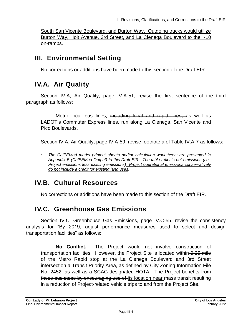South San Vicente Boulevard, and Burton Way. Outgoing trucks would utilize Burton Way, Holt Avenue, 3rd Street, and La Cienega Boulevard to the I-10 on-ramps.

#### **III. Environmental Setting**

No corrections or additions have been made to this section of the Draft EIR.

#### **IV.A. Air Quality**

Section IV.A, Air Quality, page IV.A-51, revise the first sentence of the third paragraph as follows:

Metro local bus lines, including local and rapid lines, as well as LADOT's Commuter Express lines, run along La Cienega, San Vicente and Pico Boulevards.

Section IV.A, Air Quality, page IV.A-59, revise footnote a of Table IV.A-7 as follows:

# **IV.B. Cultural Resources**

No corrections or additions have been made to this section of the Draft EIR.

## **IV.C. Greenhouse Gas Emissions**

Section IV.C, Greenhouse Gas Emissions, page IV.C-55, revise the consistency analysis for "By 2019, adjust performance measures used to select and design transportation facilities" as follows:

**No Conflict.** The Project would not involve construction of transportation facilities. However, the Project Site is located within  $-0.25$  mile of the Metro Rapid stop at the La Cienega Boulevard and 3rd Street intersection a Transit Priority Area, as defined by City Zoning Information File No. 2452, as well as a SCAG-designated HQTA. The Project benefits from these bus stops by encouraging use of its location near mass transit resulting in a reduction of Project-related vehicle trips to and from the Project Site.

*<sup>a</sup> The CalEEMod model printout sheets and/or calculation worksheets are presented in Appendix B (CalEEMod Output) to this Draft EIR. The table reflects net emissions (i.e., Project emissions less existing emissions) Project operational emissions conservatively do not include a credit for existing land uses.*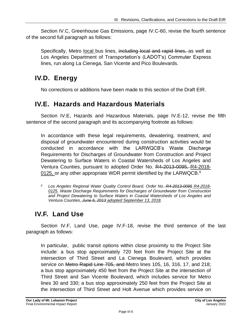Section IV.C, Greenhouse Gas Emissions, page IV.C-60, revise the fourth sentence of the second full paragraph as follows:

Specifically, Metro local bus lines, including local and rapid lines, as well as Los Angeles Department of Transportation's (LADOT's) Commuter Express lines, run along La Cienega, San Vicente and Pico Boulevards.

## **IV.D. Energy**

No corrections or additions have been made to this section of the Draft EIR.

#### **IV.E. Hazards and Hazardous Materials**

Section IV.E, Hazards and Hazardous Materials, page IV.E-12, revise the fifth sentence of the second paragraph and its accompanying footnote as follows:

In accordance with these legal requirements, dewatering, treatment, and disposal of groundwater encountered during construction activities would be conducted in accordance with the LARWQCB's Waste Discharge Requirements for Discharges of Groundwater from Construction and Project Dewatering to Surface Waters in Coastal Watersheds of Los Angeles and Ventura Counties, pursuant to adopted Order No. R4-2013-0095, R4-2018- 0125, or any other appropriate WDR permit identified by the LARWQCB. $6$ 

*<sup>6</sup> Los Angeles Regional Water Quality Control Board, Order No. R4-2013-0095 R4-2018- 0125, Waste Discharge Requirements for Discharges of Groundwater from Construction and Project Dewatering to Surface Waters in Coastal Watersheds of Los Angeles and Ventura Counties, June 6, 2013 adopted September 13, 2018.*

# **IV.F. Land Use**

Section IV.F, Land Use, page IV.F-18, revise the third sentence of the last paragraph as follows:

In particular, public transit options within close proximity to the Project Site include: a bus stop approximately 720 feet from the Project Site at the intersection of Third Street and La Cienega Boulevard, which provides service on Metro Rapid Line 705, and Metro lines 105, 16, 316, 17, and 218; a bus stop approximately 450 feet from the Project Site at the intersection of Third Street and San Vicente Boulevard, which includes service for Metro lines 30 and 330; a bus stop approximately 250 feet from the Project Site at the intersection of Third Street and Holt Avenue which provides service on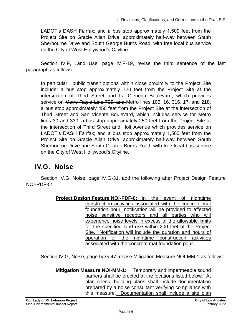LADOT's DASH Fairfax; and a bus stop approximately 1,500 feet from the Project Site on Gracie Allan Drive, approximately half-way between South Sherbourne Drive and South George Burns Road, with free local bus service on the City of West Hollywood's Cityline.

Section IV.F, Land Use, page IV.F-19, revise the third sentence of the last paragraph as follows:

In particular, public transit options within close proximity to the Project Site include: a bus stop approximately 720 feet from the Project Site at the intersection of Third Street and La Cienega Boulevard, which provides service on Metro Rapid Line 705, and Metro lines 105, 16, 316, 17, and 218; a bus stop approximately 450 feet from the Project Site at the intersection of Third Street and San Vicente Boulevard, which includes service for Metro lines 30 and 330; a bus stop approximately 250 feet from the Project Site at the intersection of Third Street and Holt Avenue which provides service on LADOT's DASH Fairfax; and a bus stop approximately 1,500 feet from the Project Site on Gracie Allan Drive, approximately half-way between South Sherbourne Drive and South George Burns Road, with free local bus service on the City of West Hollywood's Cityline.

## **IV.G. Noise**

Section IV.G, Noise, page IV.G-31, add the following after Project Design Feature NOI-PDF-5:

> **Project Design Feature NOI-PDF-6:** In the event of nighttime construction activities associated with the concrete mat foundation pour, notification will be provided to affected noise sensitive receptors and all parties who will experience noise levels in excess of the allowable limits for the specified land use within 200 feet of the Project Site. Notification will include the duration and hours of operation of the nighttime construction activities associated with the concrete mat foundation pour.

Section IV.G, Noise, page IV.G-47, revise Mitigation Measure NOI-MM-1 as follows:

**Mitigation Measure NOI-MM-1:** Temporary and impermeable sound barriers shall be erected at the locations listed below. At plan check, building plans shall include documentation prepared by a noise consultant verifying compliance with this measure. Documentation shall include a site plan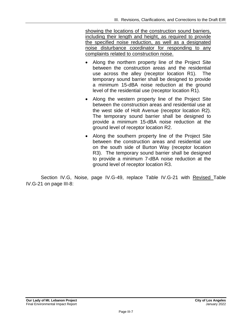showing the locations of the construction sound barriers, including their length and height, as required to provide the specified noise reduction, as well as a designated noise disturbance coordinator for responding to any complaints related to construction noise.

- Along the northern property line of the Project Site between the construction areas and the residential use across the alley (receptor location R1). The temporary sound barrier shall be designed to provide a minimum 15-dBA noise reduction at the ground level of the residential use (receptor location R1).
- Along the western property line of the Project Site between the construction areas and residential use at the west side of Holt Avenue (receptor location R2). The temporary sound barrier shall be designed to provide a minimum 15-dBA noise reduction at the ground level of receptor location R2.
- Along the southern property line of the Project Site between the construction areas and residential use on the south side of Burton Way (receptor location R3). The temporary sound barrier shall be designed to provide a minimum 7-dBA noise reduction at the ground level of receptor location R3.

Section IV.G, Noise, page IV.G-49, replace Table IV.G-21 with Revised Table IV.G-21 on page III-8: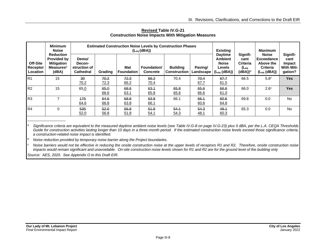|                                         | <b>Minimum</b><br><b>Noise</b>                                                                       | <b>Estimated Construction Noise Levels by Construction Phases</b><br>$(L_{eq}(dBA))$ |              |                   |                                |                                        |                      | <b>Existing</b>                                                                      |                                                           | <b>Maximum</b>                                                                        |                                                            |
|-----------------------------------------|------------------------------------------------------------------------------------------------------|--------------------------------------------------------------------------------------|--------------|-------------------|--------------------------------|----------------------------------------|----------------------|--------------------------------------------------------------------------------------|-----------------------------------------------------------|---------------------------------------------------------------------------------------|------------------------------------------------------------|
| Off-Site<br><b>Receptor</b><br>Location | <b>Reduction</b><br><b>Provided by</b><br><b>Mitigation</b><br><b>Measures</b> <sup>b</sup><br>(dBA) | Demo/<br>Decon-<br>struction of<br><b>Cathedral</b>                                  | Grading      | Mat<br>Foundation | Foundation/<br><b>Concrete</b> | <b>Building</b><br><b>Construction</b> | Paving/<br>Landscape | <b>Daytime</b><br><b>Ambient</b><br><b>Noise</b><br>Levels<br>L <sub>eq</sub> (dBA)) | Signifi-<br>cant<br><b>Criteria</b><br>(Leg<br>$(dBA))^a$ | <b>Noise</b><br><b>Exceedance</b><br>Above the<br><b>Criteria</b><br>$(L_{eq} (dBA))$ | Signifi-<br>cant<br>Impact<br><b>With Miti-</b><br>gation? |
| R1                                      | 15                                                                                                   | 30<br>70.2                                                                           | 70.2<br>72.3 | 72.3<br>66.2      | 66.2<br>70.4                   | 70.4                                   | 70.4<br>67.7         | 67.7<br>61.5                                                                         | 66.5                                                      | 5.8 <sup>c</sup>                                                                      | <b>Yes</b>                                                 |
| R <sub>2</sub>                          | 15                                                                                                   | 65.0                                                                                 | 65.0<br>68.6 | 68.6<br>63.1      | 63.1<br>65.8                   | 65.8<br>65.6                           | 65.6<br>66.6         | 66.6<br>61.0                                                                         | 66.0                                                      | 2.6 <sup>c</sup>                                                                      | <b>Yes</b>                                                 |
| R3                                      | $\overline{ }$                                                                                       | 175<br>64.6                                                                          | 64.6<br>68.8 | 68.8<br>63.8      | 63.8<br>66.1                   | 66.1                                   | 66.1<br>60.6         | 60.6<br>64.8                                                                         | 69.8                                                      | 0.0                                                                                   | <b>No</b>                                                  |
| R4                                      | $\Omega$                                                                                             | 535<br>52.0                                                                          | 52.0<br>56.8 | 56.8<br>51.8      | 54.8<br><u>54.1</u>            | 54.1<br>54.3                           | 54.3<br><u>48.1</u>  | 48.1<br>60.3                                                                         | 65.3                                                      | 0.0                                                                                   | <b>No</b>                                                  |

**Revised Table IV.G-21 Construction Noise Impacts With Mitigation Measures**

<sup>a</sup> Significance criteria are equivalent to the measured daytime ambient noise levels (see Table IV.G-8 on page IV.G-23) plus 5 dBA, per the L.A. CEQA Thresholds Guide for construction activities lasting longer than 10 days in a three-month period. If the estimated construction noise levels exceed those significance criteria, *a construction-related noise impact is identified.*

*<sup>b</sup> Noise reduction provided by temporary noise barrier along the Project boundaries.*

*<sup>c</sup> Noise barriers would not be effective in reducing the onsite construction noise at the upper levels of receptors R1 and R2. Therefore, onsite construction noise impacts would remain significant and unavoidable. On-site construction noise levels shown for R1 and R2 are for the ground level of the building only*

*Source: AES, 2020. See Appendix O to this Draft EIR.*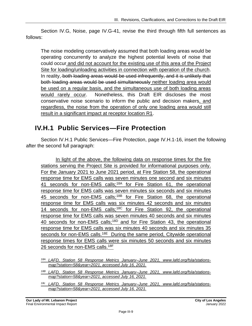Section IV.G, Noise, page IV.G-41, revise the third through fifth full sentences as follows:

The noise modeling conservatively assumed that both loading areas would be operating concurrently to analyze the highest potential levels of noise that could occur and did not account for the existing use of this area of the Project Site for loading/unloading activities in connection with operation of the church. In reality, both loading areas would be used infrequently, and it is unlikely that both loading areas would be used simultaneously neither loading area would be used on a regular basis, and the simultaneous use of both loading areas would rarely occur. Nonetheless, this Draft EIR discloses the most conservative noise scenario to inform the public and decision makers, and regardless, the noise from the operation of only one loading area would still result in a significant impact at receptor location R1.

#### **IV.H.1 Public Services—Fire Protection**

Section IV.H.1 Public Services—Fire Protection, page IV.H.1-16, insert the following after the second full paragraph:

In light of the above, the following data on response times for the fire stations serving the Project Site is provided for informational purposes only. For the January 2021 to June 2021 period, at Fire Station 58, the operational response time for EMS calls was seven minutes one second and six minutes 41 seconds for non-EMS calls;<sup>18A</sup> for Fire Station 61, the operational response time for EMS calls was seven minutes six seconds and six minutes 45 seconds for non-EMS calls;<sup>18B</sup> for Fire Station 68, the operational response time for EMS calls was six minutes 42 seconds and six minutes 14 seconds for non-EMS calls;<sup>18C</sup> for Fire Station 92, the operational response time for EMS calls was seven minutes 40 seconds and six minutes 40 seconds for non-EMS calls;<sup>18D</sup> and for Fire Station 43, the operational response time for EMS calls was six minutes 40 seconds and six minutes 35 seconds for non-EMS calls.<sup>18E</sup> During the same period, Citywide operational response times for EMS calls were six minutes 50 seconds and six minutes 26 seconds for non-EMS calls.18F

- *18B LAFD, Station 58 Response Metrics January–June 2021, www.lafd.org/fsla/stationsmap?station=58&year=2021, accessed July 16, 2021.*
- *18c LAFD, Station 58 Response Metrics January–June 2021, www.lafd.org/fsla/stationsmap?station=58&year=2021, accessed July 16, 2021.*

*<sup>18</sup>A LAFD, Station 58 Response Metrics January–June 2021, www.lafd.org/fsla/stationsmap?station=58&year=2021, accessed July 16, 2021.*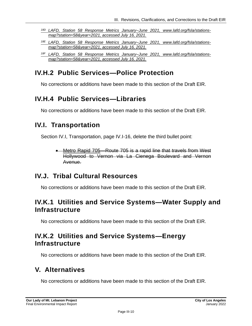- *18D LAFD, Station 58 Response Metrics January–June 2021, www.lafd.org/fsla/stationsmap?station=58&year=2021, accessed July 16, 2021.*
- *18E LAFD, Station 58 Response Metrics January–June 2021, www.lafd.org/fsla/stationsmap?station=58&year=2021, accessed July 16, 2021.*

# **IV.H.2 Public Services—Police Protection**

No corrections or additions have been made to this section of the Draft EIR.

#### **IV.H.4 Public Services—Libraries**

No corrections or additions have been made to this section of the Draft EIR.

#### **IV.I. Transportation**

Section IV.I, Transportation, page IV.I-16, delete the third bullet point:

• Metro Rapid 705 Route 705 is a rapid line that travels from West Hollywood to Vernon via La Cienega Boulevard and Vernon Avenue.

## **IV.J. Tribal Cultural Resources**

No corrections or additions have been made to this section of the Draft EIR.

#### **IV.K.1 Utilities and Service Systems—Water Supply and Infrastructure**

No corrections or additions have been made to this section of the Draft EIR.

#### **IV.K.2 Utilities and Service Systems—Energy Infrastructure**

No corrections or additions have been made to this section of the Draft EIR.

## **V. Alternatives**

No corrections or additions have been made to this section of the Draft EIR.

*<sup>18</sup>F LAFD, Station 58 Response Metrics January–June 2021, www.lafd.org/fsla/stationsmap?station=58&year=2021, accessed July 16, 2021.*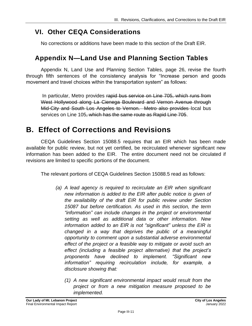## **VI. Other CEQA Considerations**

No corrections or additions have been made to this section of the Draft EIR.

#### **Appendix N—Land Use and Planning Section Tables**

Appendix N, Land Use and Planning Section Tables, page 26, revise the fourth through fifth sentences of the consistency analysis for "Increase person and goods movement and travel choices within the transportation system" as follows:

In particular, Metro provides rapid bus service on Line 705, which runs from West Hollywood along La Cienega Boulevard and Vernon Avenue through Mid-City and South Los Angeles to Vernon. Metro also provides local bus services on Line 105, which has the same route as Rapid Line 705.

# **B. Effect of Corrections and Revisions**

CEQA Guidelines Section 15088.5 requires that an EIR which has been made available for public review, but not yet certified, be recirculated whenever significant new information has been added to the EIR. The entire document need not be circulated if revisions are limited to specific portions of the document.

The relevant portions of CEQA Guidelines Section 15088.5 read as follows:

- *(a) A lead agency is required to recirculate an EIR when significant new information is added to the EIR after public notice is given of the availability of the draft EIR for public review under Section 15087 but before certification. As used in this section, the term "information" can include changes in the project or environmental setting as well as additional data or other information. New information added to an EIR is not "significant" unless the EIR is changed in a way that deprives the public of a meaningful opportunity to comment upon a substantial adverse environmental effect of the project or a feasible way to mitigate or avoid such an effect (including a feasible project alternative) that the project's proponents have declined to implement. "Significant new information" requiring recirculation include, for example, a disclosure showing that:*
	- *(1) A new significant environmental impact would result from the project or from a new mitigation measure proposed to be implemented.*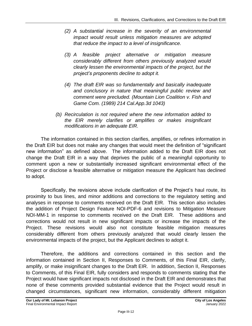- *(2) A substantial increase in the severity of an environmental impact would result unless mitigation measures are adopted that reduce the impact to a level of insignificance.*
- *(3) A feasible project alternative or mitigation measure considerably different from others previously analyzed would clearly lessen the environmental impacts of the project, but the project's proponents decline to adopt it.*
- *(4) The draft EIR was so fundamentally and basically inadequate and conclusory in nature that meaningful public review and comment were precluded. (Mountain Lion Coalition v. Fish and Game Com. (1989) 214 Cal.App.3d 1043)*
- *(b) Recirculation is not required where the new information added to the EIR merely clarifies or amplifies or makes insignificant modifications in an adequate EIR.*

The information contained in this section clarifies, amplifies, or refines information in the Draft EIR but does not make any changes that would meet the definition of "significant new information" as defined above. The information added to the Draft EIR does not change the Draft EIR in a way that deprives the public of a meaningful opportunity to comment upon a new or substantially increased significant environmental effect of the Project or disclose a feasible alternative or mitigation measure the Applicant has declined to adopt.

Specifically, the revisions above include clarification of the Project's haul route, its proximity to bus lines, and minor additions and corrections to the regulatory setting and analyses in response to comments received on the Draft EIR. This section also includes the addition of Project Design Feature NOI-PDF-6 and revisions to Mitigation Measure NOI-MM-1 in response to comments received on the Draft EIR. These additions and corrections would not result in new significant impacts or increase the impacts of the Project. These revisions would also not constitute feasible mitigation measures considerably different from others previously analyzed that would clearly lessen the environmental impacts of the project, but the Applicant declines to adopt it.

Therefore, the additions and corrections contained in this section and the information contained in Section II, Responses to Comments, of this Final EIR, clarify, amplify, or make insignificant changes to the Draft EIR. In addition, Section II, Responses to Comments, of this Final EIR, fully considers and responds to comments stating that the Project would have significant impacts not disclosed in the Draft EIR and demonstrates that none of these comments provided substantial evidence that the Project would result in changed circumstances, significant new information, considerably different mitigation